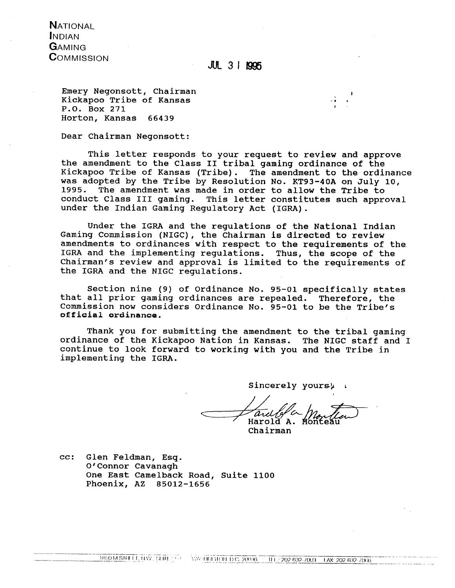**NATIONAL INDIAN GAMING COMMISSION** 

# $JUL$  3 | 1995

Emery Negonsott, Chairman Kickapoo Tribe of Kansas P.O. Box 271 Horton, Kansas 66439

Dear Chairman Negonsott:

This letter responds to your request to review and approve the amendment to the Class 11 tribal gaming ordinance of the Kickapoo Tribe of Kansas (Tribe). The amendment to the ordinance was adopted by the Tribe by Resolution No. KT93-40A on July 10,<br>1995. The amendment was made in order to allow the Tribe to The amendment was made in order to allow the Tribe to conduct Class I11 gaming. This letter constitutes such approval under the Indian Gaming Regulatory Act (IGRA).

Under the IGRA and the regulations of the National 'Indian Gaming Commission (NIGC), the Chairman is directed to review amendments to ordinances with respect to the requirements of the IGRA and the implementing regulations. Thus, the scope of the Chairman's review and approval is limited to the requirements of the IGRA and the NIGC regulations.

Section nine (9) of Ordinance No. 95-01 specifically states that all prior gaming ordinances are repealed. Therefore, the Commission now considers Ordinance No. 95-01 to be the Tribe's **ogg\$uial ordinanae.** 

Thank you for submitting the amendment to the tribal gaming ordinance of the Kickapoo Nation in Kansas. The NIGC staff and I continue to look forward to working with you and the Tribe in implementing the IGRA.

Sincerely yours) **<sup>L</sup>**

Harold<sup>'</sup>A.

Chairman

cc: Glen Feldman, Esq. O'Connor Cavanagh One East Camelback Road, Suite 1100 Phoenix, AZ 85012-1656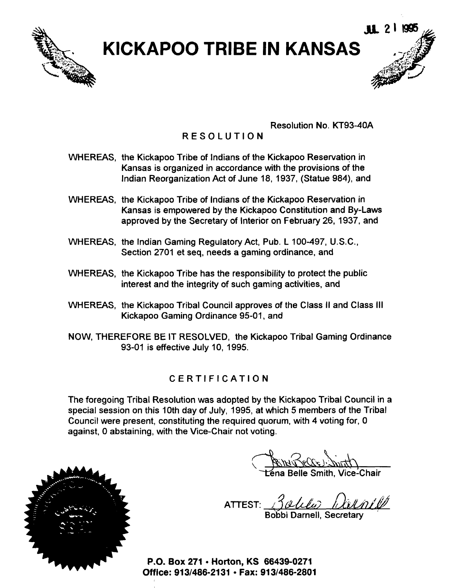

# **EXAMPRISE IN KANSAS**

Resolution No. KT93-40A

# RESOLUTION

- WHEREAS, the Kickapoo Tribe of Indians of the Kickapoo Reservation in Kansas is organized in accordance with the provisions of the Indian Reorganization Act of June 18, 1937, (Statue 984), and
- WHEREAS, the Kickapoo Tribe of Indians of the Kickapoo Reservation in Kansas is empowered by the Kickapoo Constitution and By-Laws approved by the Secretary of Interior on February 26, 1937, and
- WHEREAS, the Indian Gaming Regulatory Act, Pub. L 100-497, U.S.C., Section 2701 et seq, needs a gaming ordinance, and
- WHEREAS, the Kickapoo Tribe has the responsibility to protect the public interest and the integrity of such gaming activities, and
- WHEREAS, the Kickapoo Tribal Council approves of the Class II and Class Ill Kickapoo Gaming Ordinance 95-01, and
- NOW, THEREFORE BE IT RESOLVED, the Kickapoo Tribal Gaming Ordinance 93-01 is effective July 10, 1995.

# CERTIFICATION

The foregoing Tribal Resolution was adopted by the Kickapoo Tribal Council in a special session on this 10th day of July, 1995, at which 5 members of the Tribal Council were present, constituting the required quorum, with 4 voting for, 0 against, 0 abstaining, with the Vice-Chair not voting.

ena Belle Smith, Vice-Chair

ATTEST: **fl**  Bobbi Darnell, Secretary



**P.O. Box 271 Horton, KS 66439-0271**  Office: 913/486-2131 · Fax: 913/486-2801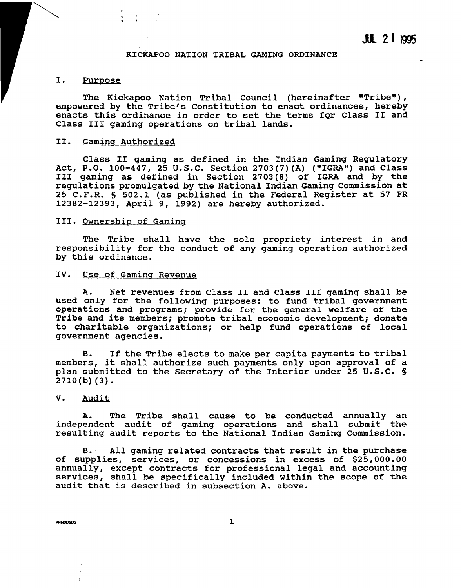### **KICKAPOO NATION TRIBAL GAMING ORDINANCE**

### I. Purpose

The Kickapoo Nation Tribal Council (hereinafter "Tribe"), **empowered by the Tribe's Constitution to enact ordinances, hereby enacts this ordinance in order to set the terms fgr Class I1 and Class I11 gaming operations on tribal lands.** 

### **11. Gamina Authorized**

Class II gaming as defined in the Indian Gaming Regulatory Act, P.O. 100-447, 25 U.S.C. Section 2703(7)(A) ("IGRA") and Class **I11 gaming as defined in Section 2703(8) of IGRA and by the regulations promulgated by the National Indian Gaming Commission at 25 C.F.R.** § **502.1 (as published in the Federal Register at 57 FR 12382-12393, April 9, 1992) are hereby authorized.** 

### **111. Ownership of Gaming**

**The Tribe shall have the sole propriety interest in and responsibility for the conduct of any gaming operation authorized by this ordinance.** 

### **IV. Use of Gamina Revenue**

**A. Net revenues from Class I1 and Class I11 gaming shall be used only for the following purposes: to fund tribal government operations and programs; provide for the general welfare of the Tribe and its members; promote tribal economic development; donate to charitable organizations; or help fund operations of local government agencies.** 

**B. If the Tribe elects to make per capita payments to tribal members, it shall authorize such payments only upon approval of a plan submitted to the Secretary of the Interior under 25 U.S.C.** § **2710(b) (3).** 

### **V. Audit**

**A. The Tribe shall cause to be conducted annually an independent audit of gaming operations- and shall submit the resulting audit reports to the National Indian Gaming Commission.** 

**B. All gaming related contracts that result in the purchase of supplies, services, or concessions in excess of \$25,000.00 annually, except contracts for professional legal and accounting services, shall be specifically included within the scope of the audit that is described in subsection A. above.** 

**PNN0D5D2**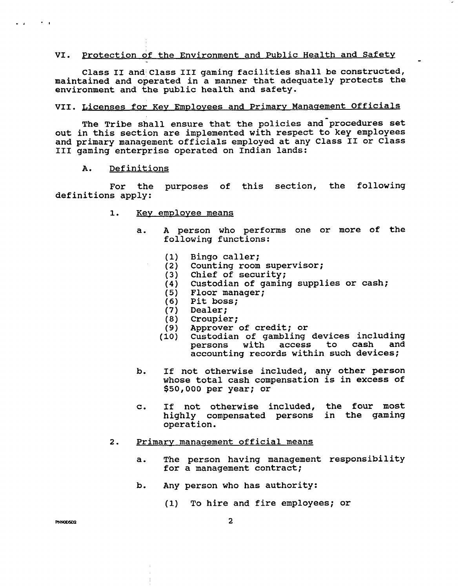### **VI.** Protection of the Environment and Public Health and Safety -

Class **I1** and Class **I11** gaming facilities shall be constructed, maintained and operated in a manner that adequately protects the environment and the public health and safety.

# VII. Licenses for Key Employees and Primary Management Officials

The Tribe shall ensure that the policies and procedures set out in this section are implemented with respect to key employees and primary management officials employed at any Class **I1** or Class I11 gaming enterprise operated on Indian lands:

### A. Definitions

 $\sim$   $\sim$   $\sim$ 

 $\mathbf{r}$ 

For the purposes of this section, the following definitions apply:

- 1. Key employee means
	- a. **A** person who performs one or more of the following functions:
		- Bingo caller;  $(1)$
		- Counting room supervisor;  $(2)$
		- Chief of security;  $(3)$
		- $(4)$ Custodian of gaming supplies or cash;
		- $(5)$ Floor manager;
		- $(6)$ Pit boss;
		- $(7)$ Dealer;
		- $(8)$ Croupier;
		- $(9)$ Approver of credit; or
		- Custodian of gambling devices including<br>nersons with access to cash and  $(10)$ persons with access to cash accounting records within such devices;
	- b. If not otherwise included, any other person whose total cash compensation is in excess of \$50,000 per year; or
	- c. If not otherwise included, the four most highly compensated persons in the gaming operation.

### 2. Primary management official means

- a. The person having management responsibility for a management contract;
- **b.** Any person who has authority:
	- (1) To hire and fire employees; or

PNNOD5D2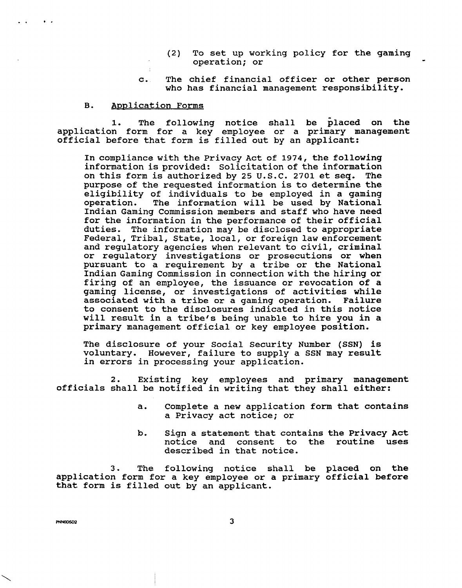- (2) To set up working policy for the gaming operation; or
- c. The chief financial officer or other person who has financial management responsibility.

### B. Application Forms

1. The following notice shall be placed on the application form for a key employee or a primary management official before that form is filled out by an applicant:

In compliance with the Privacy Act of 1974, the following information is provided: Solicitation of the information on this form is authorized by 25 U.S.C. 2701 et seq. The purpose of the requested information is to determine the eligibility of individuals to be employed in a gaming<br>operation. The information will be used by National The information will be used by National Indian Gaming Commission members and staff who have need for the information in the performance of their official duties. The information may be disclosed to appropriate Federal, Tribal, State, local, or foreign law enforcement and regulatory agencies when relevant to civil, criminal or regulatory investigations or prosecutions or when pursuant to a requirement by a tribe or the National Indian Gaming Commission in connection with the hiring or firing of an employee, the issuance or revocation of a gaming license, or investigations of activities while associated with a tribe or a gaming operation. Failure to consent to the disclosures indicated in this notice will result in a tribe's being unable to hire you in a primary management official or key employee position.

The disclosure of your Social Security Number (SSN) is voluntary. However, failure to supply a SSN may result in errors in processing your application.

2. Existing key employees and primary management officials shall be notified in writing that they shall either:

- a. Complete a new application form that contains a Privacy act notice; or
- **b.** Sign a statement that contains the Privacy Act notice and consent to the routine uses described in that notice.

3. The following notice shall be placed on the application form for a key employee or a primary official before that form is filled out by an applicant.

PNNOD5D2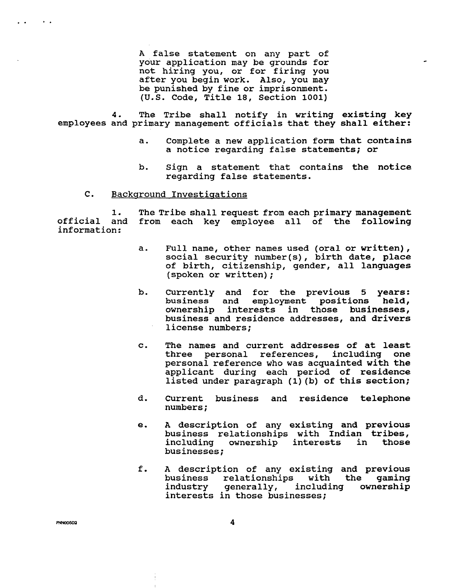**A false statement on any part of your application may be grounds for not hiring you, or for firing you after you begin work. Also, you may be punished by fine or imprisonment. (U.S. Code, Title 18, Section 1001)** 

**4. The Tribe shall notify in writing existing key employees and primary management officials that they shall either:** 

- **a. Complete a new application form that contains a notice regarding false statements; or**
- **b. Sign a statement that contains the notice regarding false statements.**

### **C. Backaround Investiaations**

**1. The Tribe shall request from each primary management official and from each key employee all of the following information:** 

- **a. Full name, other names used (oral or written), social security number(s)** , **birth date, place of birth, citizenship, gender, all languages (spoken or written)** ;
- **b. Currently and for the previous 5 years:**  employment positions held, **ownership interests in those businesses, business and residence addresses, and drivers license numbers;**
- **c. The names and current addresses of at least**  personal references, **personal reference who was acquainted with the applicant during each period of residence listed under paragraph (1) (b) of this section;**
- **d. Current business and residence telephone numbers** ;
- **e. A description of any existing and previous business relationships with Indian tribes,**  including ownership interests **businesses;**
- **f. A description of any existing and previous business relationships with the gaming industry generally, including ownership interests in those businesses;**

**PNNOD5D2** 

 $\rightarrow$   $\rightarrow$ 

 $\mathbf{L} = \mathbf{A}$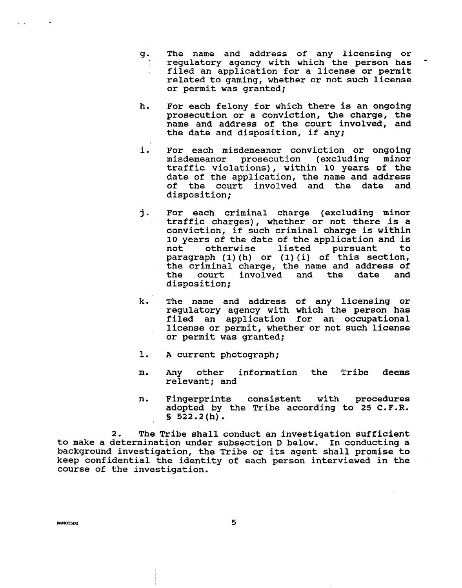- g. The name and address of any licensing or regulatory agency with which the person has filed an application for a license or permit related to gaming, whether or not such license or permit was granted;
- h. For each felony for which there is an ongoing prosecution or a conviction, the charge, the name and address of the court involved, and the date and disposition, if any;
- i. For each misdemeanor conviction or ongoing misdemeanor prosecution (excluding traffic violations) , within **10** years of the date of the application, the name and address of the court involved and the date and disposition;
- j. For each criminal charge (excluding minor traffic charges) , whether or not there is a conviction, if such criminal charge is within 10 years of the date of the application and is not otherwise listed pursuant to paragraph **(1)** (h) or (1) (i) of this section, the criminal charge, the name and address of<br>the court involved and the date and the court disposition;
- k. The name and address of any licensing or regulatory agency with which the person has filed an application for an occupational license or permit, whether or not such license or permit was granted;
- **A** current photograph; ı.
- m. Any other information the Tribe deems relevant; and
- n. Fingerprints consistent with procedures adopted by the Tribe according to 25 C.F.R.<br>§ 522.2(h).

**2.** The Tribe shall conduct an investigation sufficient to make a determination under subsection D below. In conducting a background investigation, the Tribe or its agent shall promise to keep confidential the identity of each person interviewed in the course of the investigation.

**PNN0D5D2** 

5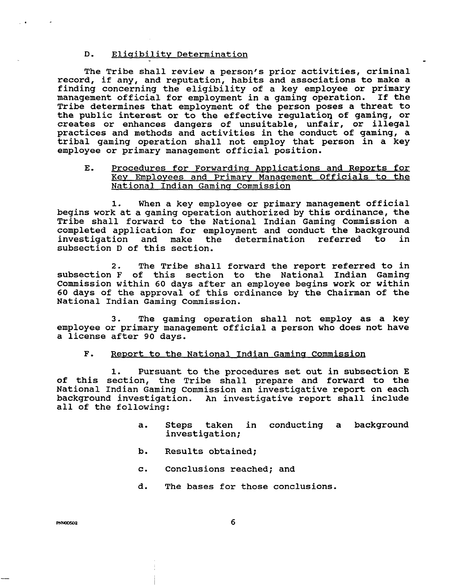### D. Eligibility Determination

The Tribe shall review a person's prior activities, criminal record, if any, and reputation, habits and associations to make a finding concerning the eligibility of a key employee or primary management official for employment in a gaming operation. If the Tribe determines that employment of the person poses a threat to the public interest or to the effective regulation of gaming, or creates or enhances dangers of unsuitable, unfair, or illegal practices and methods and activities in the conduct of gaming, a tribal gaming operation shall not employ that person in a key employee or primary management official position.

### E. Procedures for Forwarding Applications and Reports for Key Employees and Primary Management Officials to the National Indian Gamina Commission

**1.** When a key employee or primary management official begins work at a gaming operation authorized by this ordinance, the Tribe shall forward to the National Indian Gaming Commission a completed application for employment and conduct the background investigation and make the determination referred to in subsection D of this section.

2. The Tribe shall forward the report referred to in subsection F of this section to the National Indian Gaming Commission within 60 days after an employee begins work or within 60 days of the approval of this ordinance by the Chairman of the National Indian Gaming Commission.

3. The gaming operation shall not employ as a key employee or primary management official a person who does not have a license after 90 days.

### $F.$ Report to the National Indian Gaming Commission

**1.** Pursuant to the procedures set out in subsection E of this section, the Tribe shall prepare and forward to the National Indian Gaming Commission an investigative report on each background investigation. An investigative report shall include all of the following:

- a. Steps taken in conducting a background investigation;
- b. Results obtained;
- c. Conclusions reached; and
- d. The bases for those conclusions.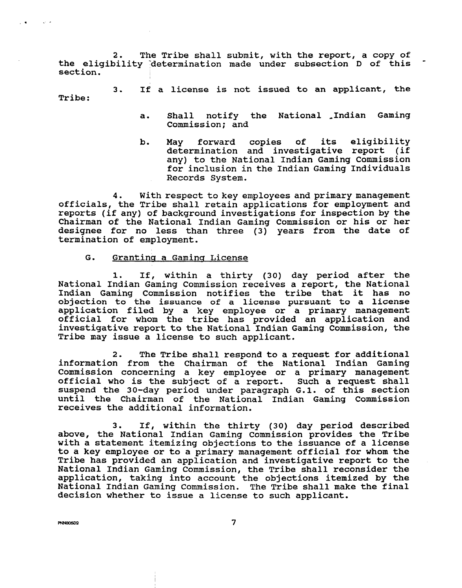2. The Tribe shall submit, with the report, a copy of the eligibility 'determination made under subsection D of this section.

3. If a license is not issued to an applicant, the Tribe:

- a. Shall notify the National Indian Gaming Commission; and
- b. May forward copies of its eligibility determination and investigative report (if any) to the National Indian Gaming Commission for inclusion in the Indian Gaming Individuals Records System.

**4.** With respect to key employees and primary management officials, the Tribe shall retain applications for employment and reports (if any) of background investigations for inspection by the Chairman of the National Indian Gaming Commission or his or her designee for no less than three (3) years from the date of termination of employment.

### G. Grantina a Gamina License

1. If, within a thirty (30) day period after the National Indian Gaming Commission receives a report, the National Indian Gaming Commission notifies the tribe that it has no objection to the issuance of a license pursuant to a license application filed by a key employee or a primary management official for whom the tribe has provided an application and investigative report to the National Indian Gaming Commission, the Tribe may issue a license to such applicant.

**2.** The Tribe shall respond to a request for additional information from the Chairman of the National Indian Gaming Commission concerning a key employee or a primary management official who is the subject of a report. Such a request shall suspend the 30-day period under paragraph G.1. of this section until the Chairman of the National Indian Gaming Commission receives the additional information.

3. If, within the thirty (30) day period described above, the National Indian Gaming Commission provides the Tribe with a statement itemizing objections to the issuance of a license to a key employee or to a primary management official for whom the Tribe has provided an application and investigative report to the National Indian Gaming Commission, the Tribe shall reconsider the application, taking into account the objections itemized by the National Indian Gaming Commission. The Tribe shall make the final decision whether to issue a license to such applicant.

PNN00502

 $\overline{7}$